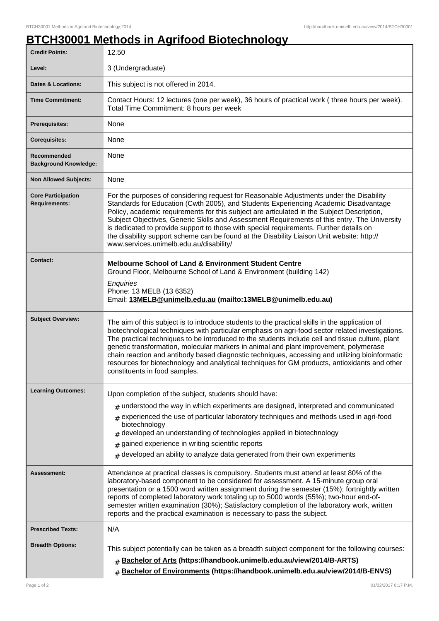## **BTCH30001 Methods in Agrifood Biotechnology**

| <b>Credit Points:</b>                             | 12.50                                                                                                                                                                                                                                                                                                                                                                                                                                                                                                                                                                                                                               |
|---------------------------------------------------|-------------------------------------------------------------------------------------------------------------------------------------------------------------------------------------------------------------------------------------------------------------------------------------------------------------------------------------------------------------------------------------------------------------------------------------------------------------------------------------------------------------------------------------------------------------------------------------------------------------------------------------|
| Level:                                            | 3 (Undergraduate)                                                                                                                                                                                                                                                                                                                                                                                                                                                                                                                                                                                                                   |
| <b>Dates &amp; Locations:</b>                     | This subject is not offered in 2014.                                                                                                                                                                                                                                                                                                                                                                                                                                                                                                                                                                                                |
| <b>Time Commitment:</b>                           | Contact Hours: 12 lectures (one per week), 36 hours of practical work (three hours per week).<br>Total Time Commitment: 8 hours per week                                                                                                                                                                                                                                                                                                                                                                                                                                                                                            |
| <b>Prerequisites:</b>                             | None                                                                                                                                                                                                                                                                                                                                                                                                                                                                                                                                                                                                                                |
| <b>Corequisites:</b>                              | None                                                                                                                                                                                                                                                                                                                                                                                                                                                                                                                                                                                                                                |
| Recommended<br><b>Background Knowledge:</b>       | None                                                                                                                                                                                                                                                                                                                                                                                                                                                                                                                                                                                                                                |
| <b>Non Allowed Subjects:</b>                      | None                                                                                                                                                                                                                                                                                                                                                                                                                                                                                                                                                                                                                                |
| <b>Core Participation</b><br><b>Requirements:</b> | For the purposes of considering request for Reasonable Adjustments under the Disability<br>Standards for Education (Cwth 2005), and Students Experiencing Academic Disadvantage<br>Policy, academic requirements for this subject are articulated in the Subject Description,<br>Subject Objectives, Generic Skills and Assessment Requirements of this entry. The University<br>is dedicated to provide support to those with special requirements. Further details on<br>the disability support scheme can be found at the Disability Liaison Unit website: http://<br>www.services.unimelb.edu.au/disability/                    |
| <b>Contact:</b>                                   | <b>Melbourne School of Land &amp; Environment Student Centre</b><br>Ground Floor, Melbourne School of Land & Environment (building 142)<br>Enquiries<br>Phone: 13 MELB (13 6352)<br>Email: 13MELB@unimelb.edu.au (mailto:13MELB@unimelb.edu.au)                                                                                                                                                                                                                                                                                                                                                                                     |
| <b>Subject Overview:</b>                          | The aim of this subject is to introduce students to the practical skills in the application of<br>biotechnological techniques with particular emphasis on agri-food sector related investigations.<br>The practical techniques to be introduced to the students include cell and tissue culture, plant<br>genetic transformation, molecular markers in animal and plant improvement, polymerase<br>chain reaction and antibody based diagnostic techniques, accessing and utilizing bioinformatic<br>resources for biotechnology and analytical techniques for GM products, antioxidants and other<br>constituents in food samples. |
| <b>Learning Outcomes:</b>                         | Upon completion of the subject, students should have:                                                                                                                                                                                                                                                                                                                                                                                                                                                                                                                                                                               |
|                                                   | $*$ understood the way in which experiments are designed, interpreted and communicated<br>experienced the use of particular laboratory techniques and methods used in agri-food<br>biotechnology<br>developed an understanding of technologies applied in biotechnology<br>gained experience in writing scientific reports<br>developed an ability to analyze data generated from their own experiments<br>#                                                                                                                                                                                                                        |
| Assessment:                                       | Attendance at practical classes is compulsory. Students must attend at least 80% of the<br>laboratory-based component to be considered for assessment. A 15-minute group oral<br>presentation or a 1500 word written assignment during the semester (15%); fortnightly written<br>reports of completed laboratory work totaling up to 5000 words (55%); two-hour end-of-<br>semester written examination (30%); Satisfactory completion of the laboratory work, written<br>reports and the practical examination is necessary to pass the subject.                                                                                  |
| <b>Prescribed Texts:</b>                          | N/A                                                                                                                                                                                                                                                                                                                                                                                                                                                                                                                                                                                                                                 |
| <b>Breadth Options:</b>                           | This subject potentially can be taken as a breadth subject component for the following courses:<br>Bachelor of Arts (https://handbook.unimelb.edu.au/view/2014/B-ARTS)<br>Bachelor of Environments (https://handbook.unimelb.edu.au/view/2014/B-ENVS)<br>$\pm$                                                                                                                                                                                                                                                                                                                                                                      |